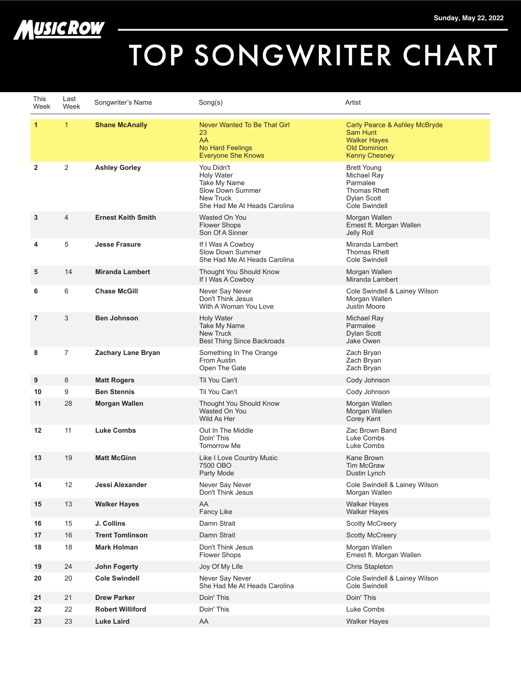



## TOP SONGWRITER CHART

| This<br>Week      | Last<br>Week | Songwriter's Name         | Song(s)                                                                                                                 | Artist                                                                                                          |
|-------------------|--------------|---------------------------|-------------------------------------------------------------------------------------------------------------------------|-----------------------------------------------------------------------------------------------------------------|
| 1                 | $\mathbf{1}$ | <b>Shane McAnally</b>     | Never Wanted To Be That Girl<br>23<br>AA<br>No Hard Feelings<br><b>Everyone She Knows</b>                               | Carly Pearce & Ashley McBryde<br>Sam Hunt<br><b>Walker Hayes</b><br><b>Old Dominion</b><br><b>Kenny Chesney</b> |
| $\overline{2}$    | 2            | <b>Ashley Gorley</b>      | You Didn't<br><b>Holy Water</b><br>Take My Name<br>Slow Down Summer<br><b>New Truck</b><br>She Had Me At Heads Carolina | <b>Brett Young</b><br>Michael Ray<br>Parmalee<br>Thomas Rhett<br><b>Dylan Scott</b><br>Cole Swindell            |
| 3                 | 4            | <b>Ernest Keith Smith</b> | Wasted On You<br><b>Flower Shops</b><br>Son Of A Sinner                                                                 | Morgan Wallen<br>Ernest ft. Morgan Wallen<br>Jelly Roll                                                         |
| 4                 | 5            | <b>Jesse Frasure</b>      | If I Was A Cowboy<br>Slow Down Summer<br>She Had Me At Heads Carolina                                                   | Miranda Lambert<br><b>Thomas Rhett</b><br>Cole Swindell                                                         |
| 5                 | 14           | <b>Miranda Lambert</b>    | Thought You Should Know<br>If I Was A Cowboy                                                                            | Morgan Wallen<br>Miranda Lambert                                                                                |
| 6                 | 6            | <b>Chase McGill</b>       | Never Say Never<br>Don't Think Jesus<br>With A Woman You Love                                                           | Cole Swindell & Lainey Wilson<br>Morgan Wallen<br>Justin Moore                                                  |
| $\overline{7}$    | 3            | <b>Ben Johnson</b>        | <b>Holy Water</b><br>Take My Name<br><b>New Truck</b><br>Best Thing Since Backroads                                     | Michael Ray<br>Parmalee<br><b>Dylan Scott</b><br>Jake Owen                                                      |
| 8                 | 7            | Zachary Lane Bryan        | Something In The Orange<br>From Austin<br>Open The Gate                                                                 | Zach Bryan<br>Zach Bryan<br>Zach Bryan                                                                          |
| 9                 | 8            | <b>Matt Rogers</b>        | Til You Can't                                                                                                           | Cody Johnson                                                                                                    |
| 10                | 9            | <b>Ben Stennis</b>        | Til You Can't                                                                                                           | Cody Johnson                                                                                                    |
| 11                | 28           | <b>Morgan Wallen</b>      | Thought You Should Know<br>Wasted On You<br>Wild As Her                                                                 | Morgan Wallen<br>Morgan Wallen<br>Corey Kent                                                                    |
| $12 \overline{ }$ | 11           | <b>Luke Combs</b>         | Out In The Middle<br>Doin' This<br><b>Tomorrow Me</b>                                                                   | Zac Brown Band<br>Luke Combs<br>Luke Combs                                                                      |
| 13                | 19           | <b>Matt McGinn</b>        | Like I Love Country Music<br>7500 OBO<br>Party Mode                                                                     | Kane Brown<br><b>Tim McGraw</b><br>Dustin Lynch                                                                 |
| 14                | 12           | Jessi Alexander           | Never Say Never<br>Don't Think Jesus                                                                                    | Cole Swindell & Lainey Wilson<br>Morgan Wallen                                                                  |
| 15                | 13           | <b>Walker Hayes</b>       | AA<br>Fancy Like                                                                                                        | <b>Walker Hayes</b><br><b>Walker Hayes</b>                                                                      |
| 16                | 15           | J. Collins                | Damn Strait                                                                                                             | <b>Scotty McCreery</b>                                                                                          |
| 17                | 16           | <b>Trent Tomlinson</b>    | Damn Strait                                                                                                             | <b>Scotty McCreery</b>                                                                                          |
| 18                | 18           | <b>Mark Holman</b>        | Don't Think Jesus<br><b>Flower Shops</b>                                                                                | Morgan Wallen<br>Ernest ft. Morgan Wallen                                                                       |
| 19                | 24           | <b>John Fogerty</b>       | Joy Of My Life                                                                                                          | Chris Stapleton                                                                                                 |
| 20                | 20           | <b>Cole Swindell</b>      | Never Say Never<br>She Had Me At Heads Carolina                                                                         | Cole Swindell & Lainey Wilson<br>Cole Swindell                                                                  |
| 21                | 21           | <b>Drew Parker</b>        | Doin' This                                                                                                              | Doin' This                                                                                                      |
| 22                | 22           | <b>Robert Williford</b>   | Doin' This                                                                                                              | Luke Combs                                                                                                      |
| 23                | 23           | <b>Luke Laird</b>         | AA                                                                                                                      | <b>Walker Hayes</b>                                                                                             |